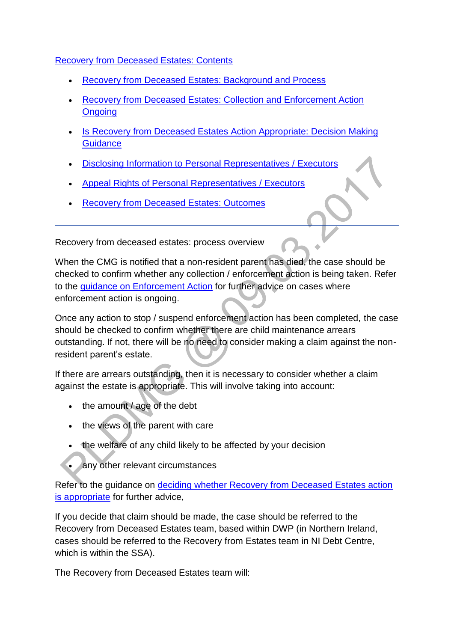# [Recovery from Deceased Estates: Contents](http://np-cmg-sharepoint.link2.gpn.gov.uk/sites/policy-law-and-decision-making-guidance/Pages/Arrears%20MOC/Recovery-from-Deceased-Estate-DMG.aspx)

- [Recovery from Deceased Estates: Background and Process](http://np-cmg-sharepoint.link2.gpn.gov.uk/sites/policy-law-and-decision-making-guidance/Pages/Arrears%20MOC/Recovery-from-Deceased-Estate-DMG.aspx#RDEbackgroundandprocess)
- [Recovery from Deceased Estates: Collection and Enforcement Action](http://np-cmg-sharepoint.link2.gpn.gov.uk/sites/policy-law-and-decision-making-guidance/Pages/Arrears%20MOC/Recovery-from-Deceased-Estate-DMG.aspx#ongoingaction)  **[Ongoing](http://np-cmg-sharepoint.link2.gpn.gov.uk/sites/policy-law-and-decision-making-guidance/Pages/Arrears%20MOC/Recovery-from-Deceased-Estate-DMG.aspx#ongoingaction)**
- Is Recovery from Deceased Estates Action Appropriate: Decision Making **[Guidance](http://np-cmg-sharepoint.link2.gpn.gov.uk/sites/policy-law-and-decision-making-guidance/Pages/Arrears%20MOC/Recovery-from-Deceased-Estate-DMG.aspx#RDEisRDEactionappropriate)**
- [Disclosing Information to Personal Representatives / Executors](http://np-cmg-sharepoint.link2.gpn.gov.uk/sites/policy-law-and-decision-making-guidance/Pages/Arrears%20MOC/Recovery-from-Deceased-Estate-DMG.aspx#Disclosinginfo)
- [Appeal Rights of Personal Representatives / Executors](http://np-cmg-sharepoint.link2.gpn.gov.uk/sites/policy-law-and-decision-making-guidance/Pages/Arrears%20MOC/Recovery-from-Deceased-Estate-DMG.aspx#AppealRights)
- [Recovery from Deceased Estates: Outcomes](http://np-cmg-sharepoint.link2.gpn.gov.uk/sites/policy-law-and-decision-making-guidance/Pages/Arrears%20MOC/Recovery-from-Deceased-Estate-DMG.aspx#outcome)

Recovery from deceased estates: process overview

When the CMG is notified that a non-resident parent has died, the case should be checked to confirm whether any collection / enforcement action is being taken. Refer to the [guidance on Enforcement Action](http://np-cmg-sharepoint.link2.gpn.gov.uk/sites/policy-law-and-decision-making-guidance/Pages/Arrears%20MOC/Recovery-from-Deceased-Estate-DMG.aspx#ongoingaction) for further advice on cases where enforcement action is ongoing.

Once any action to stop / suspend enforcement action has been completed, the case should be checked to confirm whether there are child maintenance arrears outstanding. If not, there will be no need to consider making a claim against the nonresident parent's estate.

If there are arrears outstanding, then it is necessary to consider whether a claim against the estate is appropriate. This will involve taking into account:

- the amount / age of the debt
- the views of the parent with care
- the welfare of any child likely to be affected by your decision
- any other relevant circumstances

Refer to the guidance on deciding whether Recovery from Deceased Estates action [is appropriate](http://np-cmg-sharepoint.link2.gpn.gov.uk/sites/policy-law-and-decision-making-guidance/Pages/Arrears%20MOC/Recovery-from-Deceased-Estate-DMG.aspx#RDEisRDEactionappropriate) for further advice,

If you decide that claim should be made, the case should be referred to the Recovery from Deceased Estates team, based within DWP (in Northern Ireland, cases should be referred to the Recovery from Estates team in NI Debt Centre, which is within the SSA).

The Recovery from Deceased Estates team will: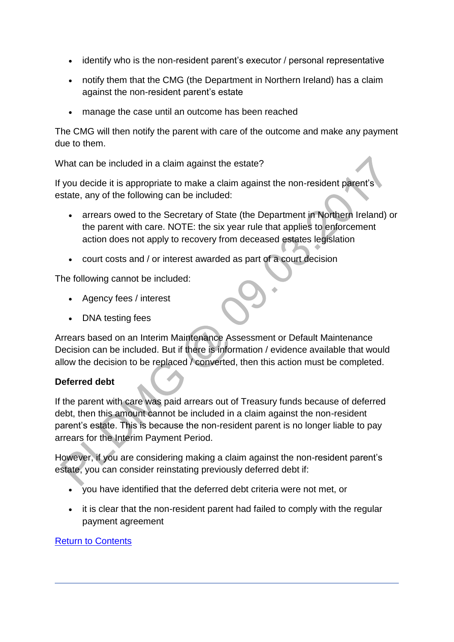- identify who is the non-resident parent's executor / personal representative
- notify them that the CMG (the Department in Northern Ireland) has a claim against the non-resident parent's estate
- manage the case until an outcome has been reached

The CMG will then notify the parent with care of the outcome and make any payment due to them.

What can be included in a claim against the estate?

If you decide it is appropriate to make a claim against the non-resident parent's estate, any of the following can be included:

- arrears owed to the Secretary of State (the Department in Northern Ireland) or the parent with care. NOTE: the six year rule that applies to enforcement action does not apply to recovery from deceased estates legislation
- court costs and / or interest awarded as part of a court decision

The following cannot be included:

- Agency fees / interest
- DNA testing fees

Arrears based on an Interim Maintenance Assessment or Default Maintenance Decision can be included. But if there is information / evidence available that would allow the decision to be replaced / converted, then this action must be completed.

#### **Deferred debt**

If the parent with care was paid arrears out of Treasury funds because of deferred debt, then this amount cannot be included in a claim against the non-resident parent's estate. This is because the non-resident parent is no longer liable to pay arrears for the Interim Payment Period.

However, if you are considering making a claim against the non-resident parent's estate, you can consider reinstating previously deferred debt if:

- you have identified that the deferred debt criteria were not met, or
- it is clear that the non-resident parent had failed to comply with the regular payment agreement

#### [Return to Contents](http://np-cmg-sharepoint.link2.gpn.gov.uk/sites/policy-law-and-decision-making-guidance/Pages/Arrears%20MOC/Recovery-from-Deceased-Estate-DMG.aspx#Contents)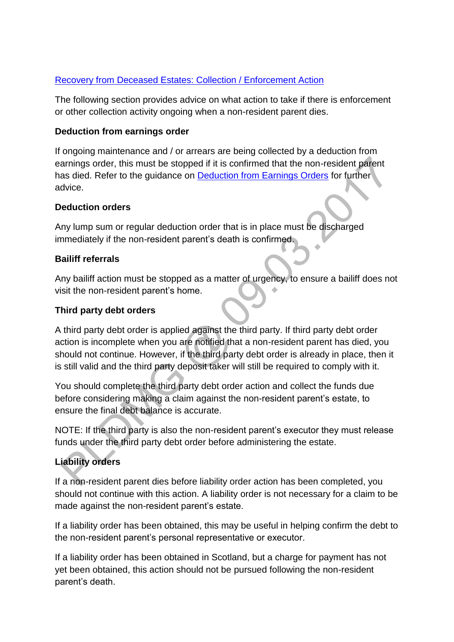# [Recovery from Deceased Estates: Collection / Enforcement Action](http://np-cmg-sharepoint.link2.gpn.gov.uk/sites/policy-law-and-decision-making-guidance/Pages/Arrears%20MOC/Recovery-from-Deceased-Estate-DMG.aspx)

The following section provides advice on what action to take if there is enforcement or other collection activity ongoing when a non-resident parent dies.

# **Deduction from earnings order**

If ongoing maintenance and / or arrears are being collected by a deduction from earnings order, this must be stopped if it is confirmed that the non-resident parent has died. Refer to the guidance on **Deduction from Earnings Orders for further** advice.

# **Deduction orders**

Any lump sum or regular deduction order that is in place must be discharged immediately if the non-resident parent's death is confirmed.

# **Bailiff referrals**

Any bailiff action must be stopped as a matter of urgency, to ensure a bailiff does not visit the non-resident parent's home.

# **Third party debt orders**

A third party debt order is applied against the third party. If third party debt order action is incomplete when you are notified that a non-resident parent has died, you should not continue. However, if the third party debt order is already in place, then it is still valid and the third party deposit taker will still be required to comply with it.

You should complete the third party debt order action and collect the funds due before considering making a claim against the non-resident parent's estate, to ensure the final debt balance is accurate.

NOTE: If the third party is also the non-resident parent's executor they must release funds under the third party debt order before administering the estate.

# **Liability orders**

If a non-resident parent dies before liability order action has been completed, you should not continue with this action. A liability order is not necessary for a claim to be made against the non-resident parent's estate.

If a liability order has been obtained, this may be useful in helping confirm the debt to the non-resident parent's personal representative or executor.

If a liability order has been obtained in Scotland, but a charge for payment has not yet been obtained, this action should not be pursued following the non-resident parent's death.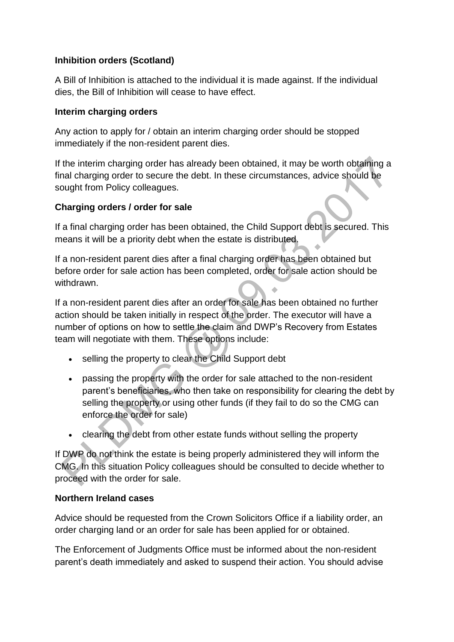# **Inhibition orders (Scotland)**

A Bill of Inhibition is attached to the individual it is made against. If the individual dies, the Bill of Inhibition will cease to have effect.

#### **Interim charging orders**

Any action to apply for / obtain an interim charging order should be stopped immediately if the non-resident parent dies.

If the interim charging order has already been obtained, it may be worth obtaining a final charging order to secure the debt. In these circumstances, advice should be sought from Policy colleagues.

#### **Charging orders / order for sale**

If a final charging order has been obtained, the Child Support debt is secured. This means it will be a priority debt when the estate is distributed.

If a non-resident parent dies after a final charging order has been obtained but before order for sale action has been completed, order for sale action should be withdrawn.

If a non-resident parent dies after an order for sale has been obtained no further action should be taken initially in respect of the order. The executor will have a number of options on how to settle the claim and DWP's Recovery from Estates team will negotiate with them. These options include:

- selling the property to clear the Child Support debt
- passing the property with the order for sale attached to the non-resident parent's beneficiaries, who then take on responsibility for clearing the debt by selling the property or using other funds (if they fail to do so the CMG can enforce the order for sale)
- clearing the debt from other estate funds without selling the property

If DWP do not think the estate is being properly administered they will inform the CMG. In this situation Policy colleagues should be consulted to decide whether to proceed with the order for sale.

#### **Northern Ireland cases**

Advice should be requested from the Crown Solicitors Office if a liability order, an order charging land or an order for sale has been applied for or obtained.

The Enforcement of Judgments Office must be informed about the non-resident parent's death immediately and asked to suspend their action. You should advise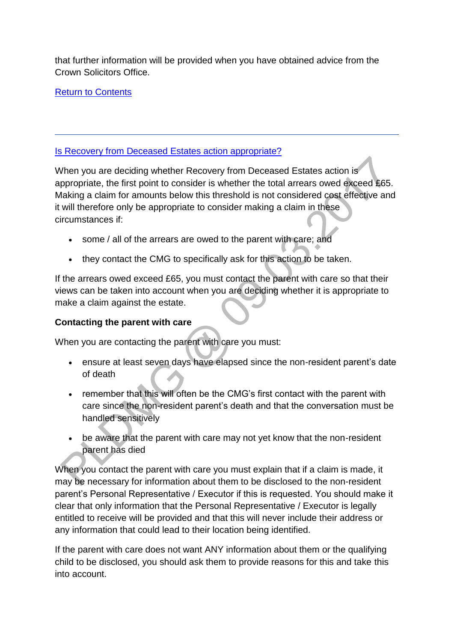that further information will be provided when you have obtained advice from the Crown Solicitors Office.

[Return to Contents](http://np-cmg-sharepoint.link2.gpn.gov.uk/sites/policy-law-and-decision-making-guidance/Pages/Arrears%20MOC/Recovery-from-Deceased-Estate-DMG.aspx#Contents)

# [Is Recovery from Deceased Estates action appropriate?](http://np-cmg-sharepoint.link2.gpn.gov.uk/sites/policy-law-and-decision-making-guidance/Pages/Arrears%20MOC/Recovery-from-Deceased-Estate-DMG.aspx)

When you are deciding whether Recovery from Deceased Estates action is appropriate, the first point to consider is whether the total arrears owed exceed £65. Making a claim for amounts below this threshold is not considered cost effective and it will therefore only be appropriate to consider making a claim in these circumstances if:

- some / all of the arrears are owed to the parent with care; and
- they contact the CMG to specifically ask for this action to be taken.

If the arrears owed exceed £65, you must contact the parent with care so that their views can be taken into account when you are deciding whether it is appropriate to make a claim against the estate.

# **Contacting the parent with care**

When you are contacting the parent with care you must:

- ensure at least seven days have elapsed since the non-resident parent's date of death
- remember that this will often be the CMG's first contact with the parent with care since the non-resident parent's death and that the conversation must be handled sensitively
- be aware that the parent with care may not yet know that the non-resident parent has died

When you contact the parent with care you must explain that if a claim is made, it may be necessary for information about them to be disclosed to the non-resident parent's Personal Representative / Executor if this is requested. You should make it clear that only information that the Personal Representative / Executor is legally entitled to receive will be provided and that this will never include their address or any information that could lead to their location being identified.

If the parent with care does not want ANY information about them or the qualifying child to be disclosed, you should ask them to provide reasons for this and take this into account.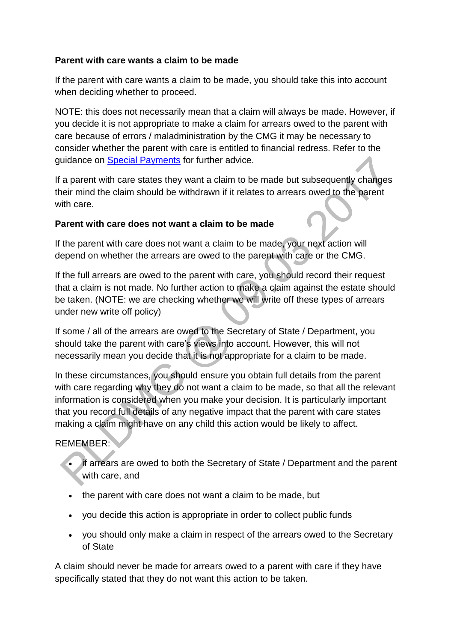### **Parent with care wants a claim to be made**

If the parent with care wants a claim to be made, you should take this into account when deciding whether to proceed.

NOTE: this does not necessarily mean that a claim will always be made. However, if you decide it is not appropriate to make a claim for arrears owed to the parent with care because of errors / maladministration by the CMG it may be necessary to consider whether the parent with care is entitled to financial redress. Refer to the guidance on [Special Payments](http://np-cmg-sharepoint.link2.gpn.gov.uk/sites/policy-law-and-decision-making-guidance/Pages/Managing%20Client%20Contact/Managing-Client-Contact.aspx#SpecialPayments) for further advice.

If a parent with care states they want a claim to be made but subsequently changes their mind the claim should be withdrawn if it relates to arrears owed to the parent with care.

# **Parent with care does not want a claim to be made**

If the parent with care does not want a claim to be made, your next action will depend on whether the arrears are owed to the parent with care or the CMG.

If the full arrears are owed to the parent with care, you should record their request that a claim is not made. No further action to make a claim against the estate should be taken. (NOTE: we are checking whether we will write off these types of arrears under new write off policy)

If some / all of the arrears are owed to the Secretary of State / Department, you should take the parent with care's views into account. However, this will not necessarily mean you decide that it is not appropriate for a claim to be made.

In these circumstances, you should ensure you obtain full details from the parent with care regarding why they do not want a claim to be made, so that all the relevant information is considered when you make your decision. It is particularly important that you record full details of any negative impact that the parent with care states making a claim might have on any child this action would be likely to affect.

# REMEMBER:

- if arrears are owed to both the Secretary of State / Department and the parent with care, and
- the parent with care does not want a claim to be made, but
- you decide this action is appropriate in order to collect public funds
- you should only make a claim in respect of the arrears owed to the Secretary of State

A claim should never be made for arrears owed to a parent with care if they have specifically stated that they do not want this action to be taken.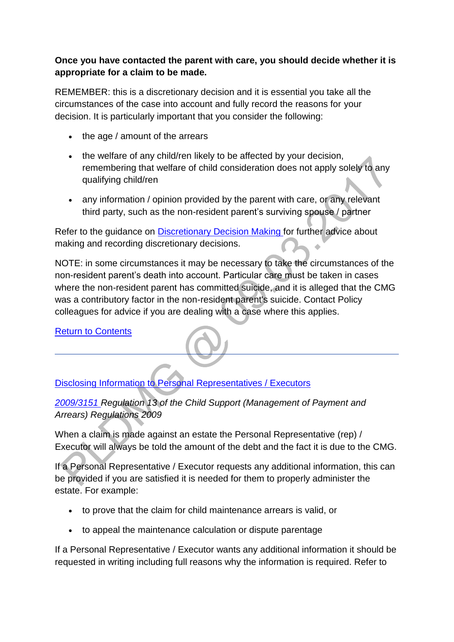# **Once you have contacted the parent with care, you should decide whether it is appropriate for a claim to be made.**

REMEMBER: this is a discretionary decision and it is essential you take all the circumstances of the case into account and fully record the reasons for your decision. It is particularly important that you consider the following:

- the age / amount of the arrears
- the welfare of any child/ren likely to be affected by your decision, remembering that welfare of child consideration does not apply solely to any qualifying child/ren
- any information / opinion provided by the parent with care, or any relevant third party, such as the non-resident parent's surviving spouse / partner

Refer to the guidance on [Discretionary Decision Making f](http://np-cmg-sharepoint.link2.gpn.gov.uk/sites/policy-law-and-decision-making-guidance/Pages/Evidence%20and%20decision%20making/Evidence-and-decision-making.aspx#DDMguidance)or further advice about making and recording discretionary decisions. Ä

NOTE: in some circumstances it may be necessary to take the circumstances of the non-resident parent's death into account. Particular care must be taken in cases where the non-resident parent has committed suicide, and it is alleged that the CMG was a contributory factor in the non-resident parent's suicide. Contact Policy colleagues for advice if you are dealing with a case where this applies.

[Return to Contents](http://np-cmg-sharepoint.link2.gpn.gov.uk/sites/policy-law-and-decision-making-guidance/Pages/Arrears%20MOC/Recovery-from-Deceased-Estate-DMG.aspx#Contents)

[Disclosing Information to Personal Representatives / Executors](http://np-cmg-sharepoint.link2.gpn.gov.uk/sites/policy-law-and-decision-making-guidance/Pages/Arrears%20MOC/Recovery-from-Deceased-Estate-DMG.aspx)

*[2009/3151 R](http://www.legislation.gov.uk/uksi/2009/3151/contents)egulation 13 of the Child Support (Management of Payment and Arrears) Regulations 2009*

When a claim is made against an estate the Personal Representative (rep) / Executor will always be told the amount of the debt and the fact it is due to the CMG.

If a Personal Representative / Executor requests any additional information, this can be provided if you are satisfied it is needed for them to properly administer the estate. For example:

- to prove that the claim for child maintenance arrears is valid, or
- to appeal the maintenance calculation or dispute parentage

If a Personal Representative / Executor wants any additional information it should be requested in writing including full reasons why the information is required. Refer to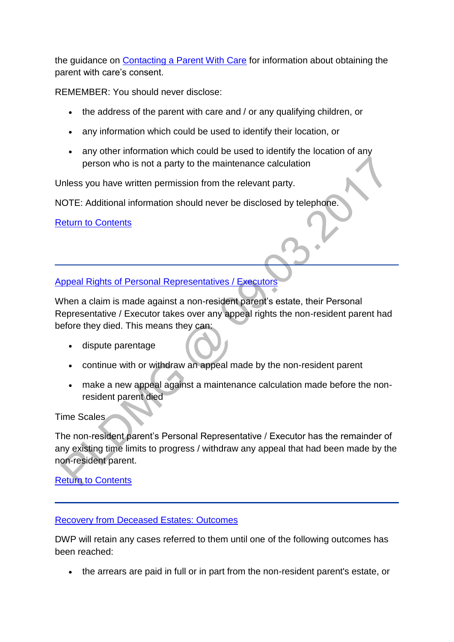the guidance on [Contacting a Parent With Care](http://np-cmg-sharepoint.link2.gpn.gov.uk/sites/policy-law-and-decision-making-guidance/Pages/Arrears%20MOC/Recovery-from-Deceased-Estate-DMG.aspx#RDEisRDEactionappropriate) for information about obtaining the parent with care's consent.

REMEMBER: You should never disclose:

- the address of the parent with care and / or any qualifying children, or
- any information which could be used to identify their location, or
- any other information which could be used to identify the location of any person who is not a party to the maintenance calculation

Unless you have written permission from the relevant party.

NOTE: Additional information should never be disclosed by telephone.

[Return to Contents](http://np-cmg-sharepoint.link2.gpn.gov.uk/sites/policy-law-and-decision-making-guidance/Pages/Arrears%20MOC/Recovery-from-Deceased-Estate-DMG.aspx#Contents)

[Appeal Rights of Personal Representatives / Executors](http://np-cmg-sharepoint.link2.gpn.gov.uk/sites/policy-law-and-decision-making-guidance/Pages/Arrears%20MOC/Recovery-from-Deceased-Estate-DMG.aspx)

When a claim is made against a non-resident parent's estate, their Personal Representative / Executor takes over any appeal rights the non-resident parent had before they died. This means they can:

- dispute parentage
- continue with or withdraw an appeal made by the non-resident parent
- make a new appeal against a maintenance calculation made before the nonresident parent died

Time Scales

The non-resident parent's Personal Representative / Executor has the remainder of any existing time limits to progress / withdraw any appeal that had been made by the non-resident parent.

[Return to Contents](http://np-cmg-sharepoint.link2.gpn.gov.uk/sites/policy-law-and-decision-making-guidance/Pages/Arrears%20MOC/Recovery-from-Deceased-Estate-DMG.aspx#Contents)

#### [Recovery from Deceased Estates: Outcomes](http://np-cmg-sharepoint.link2.gpn.gov.uk/sites/policy-law-and-decision-making-guidance/Pages/Arrears%20MOC/)

DWP will retain any cases referred to them until one of the following outcomes has been reached:

the arrears are paid in full or in part from the non-resident parent's estate, or